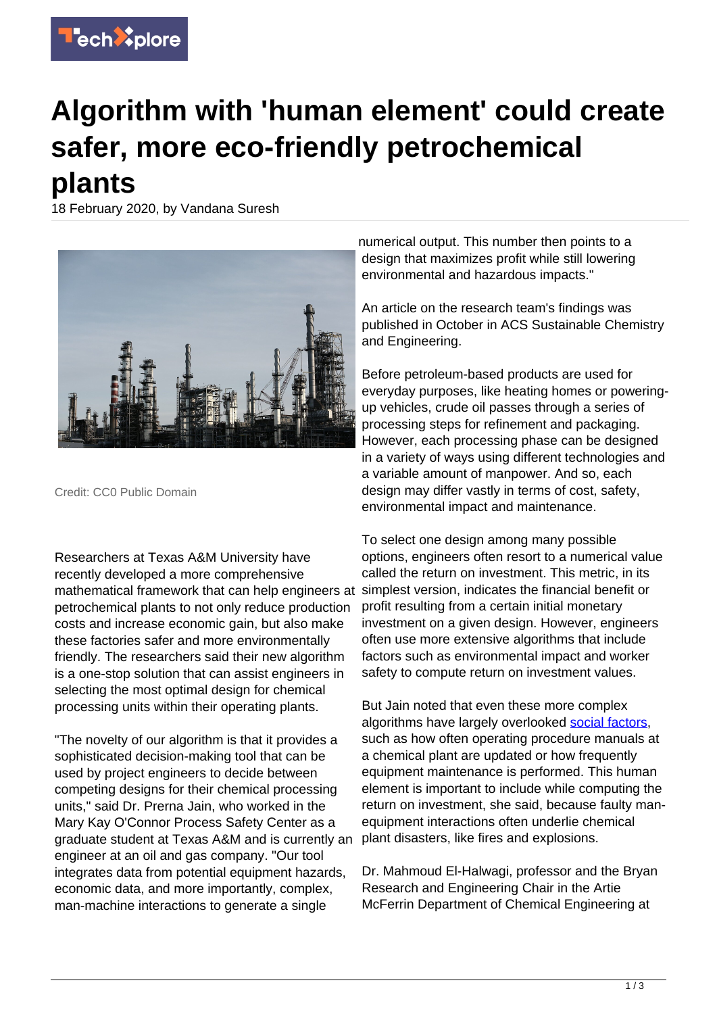

## **Algorithm with 'human element' could create safer, more eco-friendly petrochemical plants**

18 February 2020, by Vandana Suresh



Credit: CC0 Public Domain

Researchers at Texas A&M University have recently developed a more comprehensive mathematical framework that can help engineers at petrochemical plants to not only reduce production costs and increase economic gain, but also make these factories safer and more environmentally friendly. The researchers said their new algorithm is a one-stop solution that can assist engineers in selecting the most optimal design for chemical processing units within their operating plants.

"The novelty of our algorithm is that it provides a sophisticated decision-making tool that can be used by project engineers to decide between competing designs for their chemical processing units," said Dr. Prerna Jain, who worked in the Mary Kay O'Connor Process Safety Center as a graduate student at Texas A&M and is currently an engineer at an oil and gas company. "Our tool integrates data from potential equipment hazards, economic data, and more importantly, complex, man-machine interactions to generate a single

numerical output. This number then points to a design that maximizes profit while still lowering environmental and hazardous impacts."

An article on the research team's findings was published in October in ACS Sustainable Chemistry and Engineering.

Before petroleum-based products are used for everyday purposes, like heating homes or poweringup vehicles, crude oil passes through a series of processing steps for refinement and packaging. However, each processing phase can be designed in a variety of ways using different technologies and a variable amount of manpower. And so, each design may differ vastly in terms of cost, safety, environmental impact and maintenance.

To select one design among many possible options, engineers often resort to a numerical value called the return on investment. This metric, in its simplest version, indicates the financial benefit or profit resulting from a certain initial monetary investment on a given design. However, engineers often use more extensive algorithms that include factors such as environmental impact and worker safety to compute return on investment values.

But Jain noted that even these more complex algorithms have largely overlooked [social factors,](https://techxplore.com/tags/social+factors/) such as how often operating procedure manuals at a chemical plant are updated or how frequently equipment maintenance is performed. This human element is important to include while computing the return on investment, she said, because faulty manequipment interactions often underlie chemical plant disasters, like fires and explosions.

Dr. Mahmoud El-Halwagi, professor and the Bryan Research and Engineering Chair in the Artie McFerrin Department of Chemical Engineering at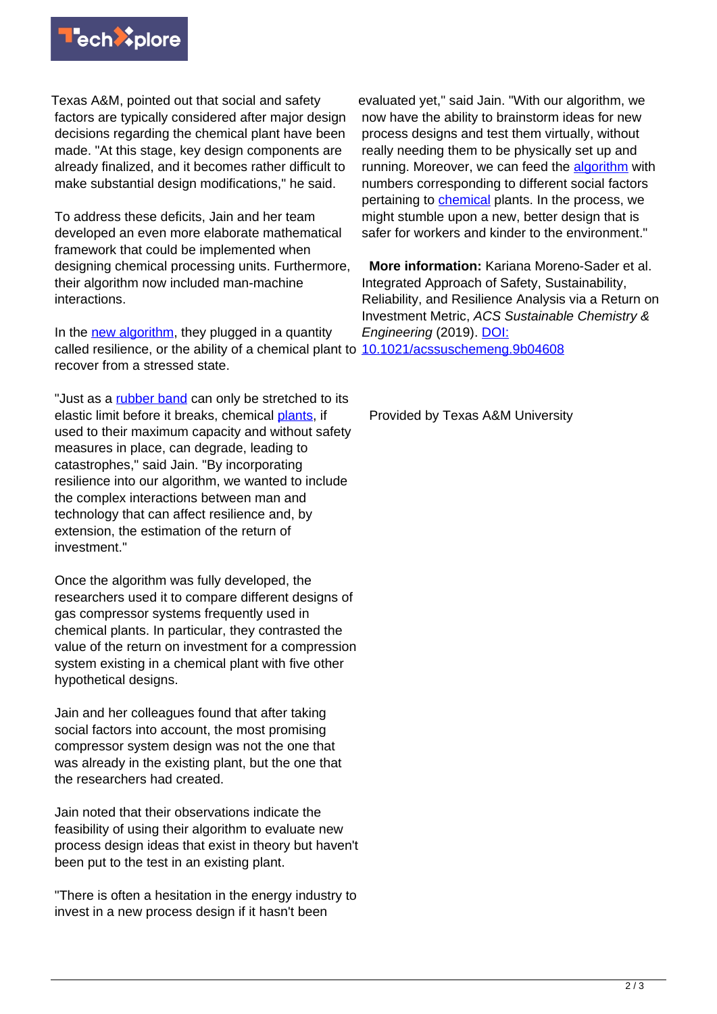

Texas A&M, pointed out that social and safety factors are typically considered after major design decisions regarding the chemical plant have been made. "At this stage, key design components are already finalized, and it becomes rather difficult to make substantial design modifications," he said.

To address these deficits, Jain and her team developed an even more elaborate mathematical framework that could be implemented when designing chemical processing units. Furthermore, their algorithm now included man-machine interactions.

In the [new algorithm](https://techxplore.com/tags/new+algorithm/), they plugged in a quantity called resilience, or the ability of a chemical plant to [10.1021/acssuschemeng.9b04608](http://dx.doi.org/10.1021/acssuschemeng.9b04608) recover from a stressed state.

"Just as a [rubber band](https://techxplore.com/tags/rubber+band/) can only be stretched to its elastic limit before it breaks, chemical [plants,](https://techxplore.com/tags/plants/) if used to their maximum capacity and without safety measures in place, can degrade, leading to catastrophes," said Jain. "By incorporating resilience into our algorithm, we wanted to include the complex interactions between man and technology that can affect resilience and, by extension, the estimation of the return of investment."

Once the algorithm was fully developed, the researchers used it to compare different designs of gas compressor systems frequently used in chemical plants. In particular, they contrasted the value of the return on investment for a compression system existing in a chemical plant with five other hypothetical designs.

Jain and her colleagues found that after taking social factors into account, the most promising compressor system design was not the one that was already in the existing plant, but the one that the researchers had created.

Jain noted that their observations indicate the feasibility of using their algorithm to evaluate new process design ideas that exist in theory but haven't been put to the test in an existing plant.

"There is often a hesitation in the energy industry to invest in a new process design if it hasn't been

evaluated yet," said Jain. "With our algorithm, we now have the ability to brainstorm ideas for new process designs and test them virtually, without really needing them to be physically set up and running. Moreover, we can feed the [algorithm](https://techxplore.com/tags/algorithm/) with numbers corresponding to different social factors pertaining to [chemical](https://techxplore.com/tags/chemical/) plants. In the process, we might stumble upon a new, better design that is safer for workers and kinder to the environment."

 **More information:** Kariana Moreno-Sader et al. Integrated Approach of Safety, Sustainability, Reliability, and Resilience Analysis via a Return on Investment Metric, ACS Sustainable Chemistry & Engineering (2019). [DOI:](http://dx.doi.org/10.1021/acssuschemeng.9b04608)

Provided by Texas A&M University